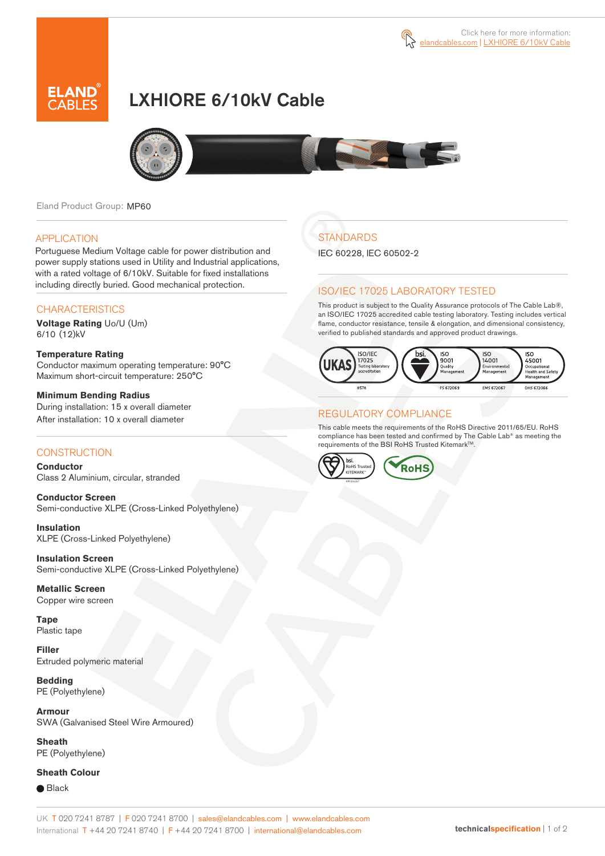

# LXHIORE 6/10kV Cable



Eland Product Group: MP60

### **APPLICATION**

Portuguese Medium Voltage cable for power distribution and power supply stations used in Utility and Industrial applications, with a rated voltage of 6/10kV. Suitable for fixed installations including directly buried. Good mechanical protection.

### **CHARACTERISTICS**

**Voltage Rating** Uo/U (Um) 6/10 (12)kV

#### **Temperature Rating**  Conductor maximum operating temperature: 90°C Maximum short-circuit temperature: 250°C

**Minimum Bending Radius**  During installation: 15 x overall diameter After installation: 10 x overall diameter

### **CONSTRUCTION**

**Conductor**  Class 2 Aluminium, circular, stranded

**Conductor Screen** Semi-conductive XLPE (Cross-Linked Polyethylene)

**Insulation** XLPE (Cross-Linked Polyethylene)

**Insulation Screen** Semi-conductive XLPE (Cross-Linked Polyethylene)

**Metallic Screen**  Copper wire screen

**Tape** Plastic tape

**Filler** Extruded polymeric material

**Bedding** PE (Polyethylene)

**Armour** SWA (Galvanised Steel Wire Armoured)

**Sheath** PE (Polyethylene)

### **Sheath Colour**

**■** Black

## **STANDARDS**

IEC 60228, IEC 60502-2

### ISO/IEC 17025 LABORATORY TESTED

This product is subject to the Quality Assurance protocols of The Cable Lab®, an ISO/IEC 17025 accredited cable testing laboratory. Testing includes vertical flame, conductor resistance, tensile & elongation, and dimensional consistency, verified to published standards and approved product drawings.



### REGULATORY COMPLIANCE

This cable meets the requirements of the RoHS Directive 2011/65/EU. RoHS compliance has been tested and confirmed by The Cable Lab® as meeting the requirements of the BSI RoHS Trusted Kitemark™.